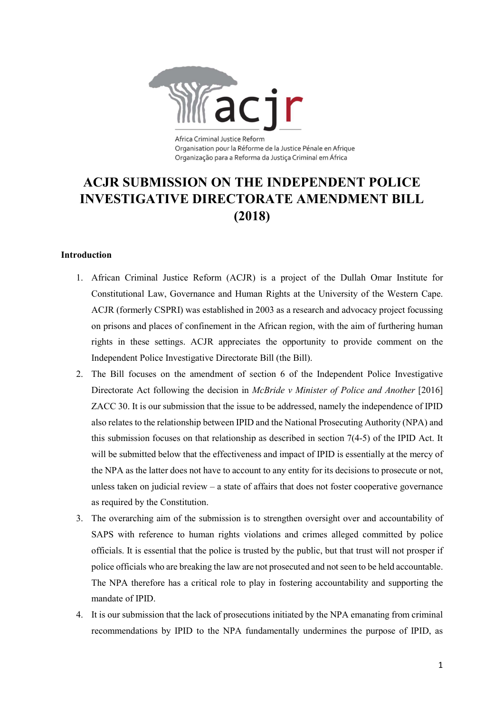

Organisation pour la Réforme de la Justice Pénale en Afrique Organização para a Reforma da Justica Criminal em África

# ACJR SUBMISSION ON THE INDEPENDENT POLICE INVESTIGATIVE DIRECTORATE AMENDMENT BILL (2018)

## Introduction

- 1. African Criminal Justice Reform (ACJR) is a project of the Dullah Omar Institute for Constitutional Law, Governance and Human Rights at the University of the Western Cape. ACJR (formerly CSPRI) was established in 2003 as a research and advocacy project focussing on prisons and places of confinement in the African region, with the aim of furthering human rights in these settings. ACJR appreciates the opportunity to provide comment on the Independent Police Investigative Directorate Bill (the Bill).
- 2. The Bill focuses on the amendment of section 6 of the Independent Police Investigative Directorate Act following the decision in McBride v Minister of Police and Another [2016] ZACC 30. It is our submission that the issue to be addressed, namely the independence of IPID also relates to the relationship between IPID and the National Prosecuting Authority (NPA) and this submission focuses on that relationship as described in section 7(4-5) of the IPID Act. It will be submitted below that the effectiveness and impact of IPID is essentially at the mercy of the NPA as the latter does not have to account to any entity for its decisions to prosecute or not, unless taken on judicial review – a state of affairs that does not foster cooperative governance as required by the Constitution.
- 3. The overarching aim of the submission is to strengthen oversight over and accountability of SAPS with reference to human rights violations and crimes alleged committed by police officials. It is essential that the police is trusted by the public, but that trust will not prosper if police officials who are breaking the law are not prosecuted and not seen to be held accountable. The NPA therefore has a critical role to play in fostering accountability and supporting the mandate of IPID.
- 4. It is our submission that the lack of prosecutions initiated by the NPA emanating from criminal recommendations by IPID to the NPA fundamentally undermines the purpose of IPID, as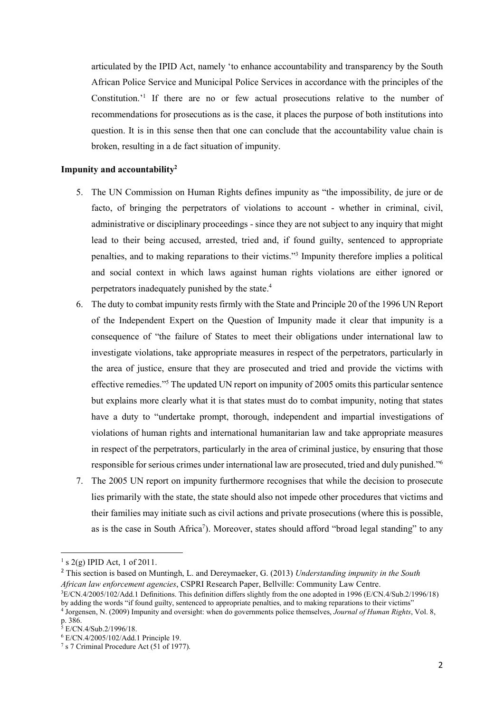articulated by the IPID Act, namely 'to enhance accountability and transparency by the South African Police Service and Municipal Police Services in accordance with the principles of the Constitution.'<sup>1</sup> If there are no or few actual prosecutions relative to the number of recommendations for prosecutions as is the case, it places the purpose of both institutions into question. It is in this sense then that one can conclude that the accountability value chain is broken, resulting in a de fact situation of impunity.

#### Impunity and accountability<sup>2</sup>

- 5. The UN Commission on Human Rights defines impunity as "the impossibility, de jure or de facto, of bringing the perpetrators of violations to account - whether in criminal, civil, administrative or disciplinary proceedings - since they are not subject to any inquiry that might lead to their being accused, arrested, tried and, if found guilty, sentenced to appropriate penalties, and to making reparations to their victims."<sup>3</sup> Impunity therefore implies a political and social context in which laws against human rights violations are either ignored or perpetrators inadequately punished by the state.<sup>4</sup>
- 6. The duty to combat impunity rests firmly with the State and Principle 20 of the 1996 UN Report of the Independent Expert on the Question of Impunity made it clear that impunity is a consequence of "the failure of States to meet their obligations under international law to investigate violations, take appropriate measures in respect of the perpetrators, particularly in the area of justice, ensure that they are prosecuted and tried and provide the victims with effective remedies."<sup>5</sup> The updated UN report on impunity of 2005 omits this particular sentence but explains more clearly what it is that states must do to combat impunity, noting that states have a duty to "undertake prompt, thorough, independent and impartial investigations of violations of human rights and international humanitarian law and take appropriate measures in respect of the perpetrators, particularly in the area of criminal justice, by ensuring that those responsible for serious crimes under international law are prosecuted, tried and duly punished."<sup>6</sup>
- 7. The 2005 UN report on impunity furthermore recognises that while the decision to prosecute lies primarily with the state, the state should also not impede other procedures that victims and their families may initiate such as civil actions and private prosecutions (where this is possible, as is the case in South Africa<sup>7</sup>). Moreover, states should afford "broad legal standing" to any

 $1 \text{ s } 2(\text{g})$  IPID Act, 1 of 2011.

 $2$  This section is based on Muntingh, L. and Dereymaeker, G. (2013) Understanding impunity in the South African law enforcement agencies, CSPRI Research Paper, Bellville: Community Law Centre.

<sup>3</sup>E/CN.4/2005/102/Add.1 Definitions. This definition differs slightly from the one adopted in 1996 (E/CN.4/Sub.2/1996/18) by adding the words "if found guilty, sentenced to appropriate penalties, and to making reparations to their victims"

<sup>&</sup>lt;sup>4</sup> Jorgensen, N. (2009) Impunity and oversight: when do governments police themselves, *Journal of Human Rights*, Vol. 8, p. 386.<br><sup>5</sup> E/CN.4/Sub.2/1996/18.

<sup>6</sup> E/CN.4/2005/102/Add.1 Principle 19.

<sup>7</sup> s 7 Criminal Procedure Act (51 of 1977).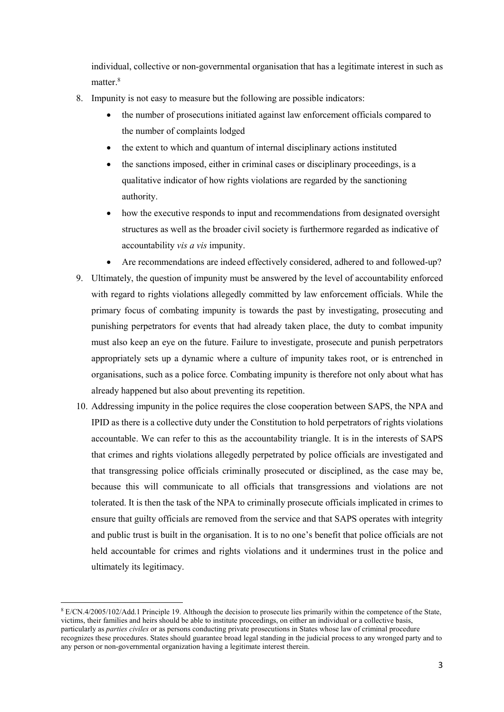individual, collective or non-governmental organisation that has a legitimate interest in such as matter.<sup>8</sup>

- 8. Impunity is not easy to measure but the following are possible indicators:
	- the number of prosecutions initiated against law enforcement officials compared to the number of complaints lodged
	- the extent to which and quantum of internal disciplinary actions instituted
	- the sanctions imposed, either in criminal cases or disciplinary proceedings, is a qualitative indicator of how rights violations are regarded by the sanctioning authority.
	- how the executive responds to input and recommendations from designated oversight structures as well as the broader civil society is furthermore regarded as indicative of accountability vis a vis impunity.
	- Are recommendations are indeed effectively considered, adhered to and followed-up?
- 9. Ultimately, the question of impunity must be answered by the level of accountability enforced with regard to rights violations allegedly committed by law enforcement officials. While the primary focus of combating impunity is towards the past by investigating, prosecuting and punishing perpetrators for events that had already taken place, the duty to combat impunity must also keep an eye on the future. Failure to investigate, prosecute and punish perpetrators appropriately sets up a dynamic where a culture of impunity takes root, or is entrenched in organisations, such as a police force. Combating impunity is therefore not only about what has already happened but also about preventing its repetition.
- 10. Addressing impunity in the police requires the close cooperation between SAPS, the NPA and IPID as there is a collective duty under the Constitution to hold perpetrators of rights violations accountable. We can refer to this as the accountability triangle. It is in the interests of SAPS that crimes and rights violations allegedly perpetrated by police officials are investigated and that transgressing police officials criminally prosecuted or disciplined, as the case may be, because this will communicate to all officials that transgressions and violations are not tolerated. It is then the task of the NPA to criminally prosecute officials implicated in crimes to ensure that guilty officials are removed from the service and that SAPS operates with integrity and public trust is built in the organisation. It is to no one's benefit that police officials are not held accountable for crimes and rights violations and it undermines trust in the police and ultimately its legitimacy.

<sup>&</sup>lt;sup>8</sup> E/CN.4/2005/102/Add.1 Principle 19. Although the decision to prosecute lies primarily within the competence of the State, victims, their families and heirs should be able to institute proceedings, on either an individual or a collective basis, particularly as parties civiles or as persons conducting private prosecutions in States whose law of criminal procedure recognizes these procedures. States should guarantee broad legal standing in the judicial process to any wronged party and to any person or non-governmental organization having a legitimate interest therein.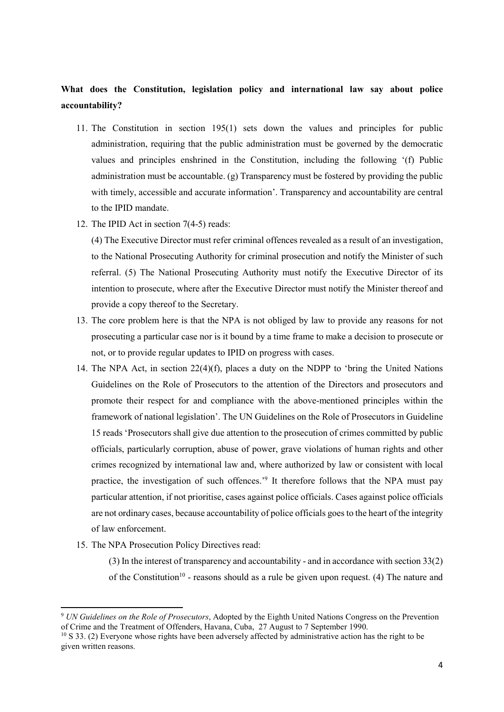# What does the Constitution, legislation policy and international law say about police accountability?

- 11. The Constitution in section 195(1) sets down the values and principles for public administration, requiring that the public administration must be governed by the democratic values and principles enshrined in the Constitution, including the following '(f) Public administration must be accountable. (g) Transparency must be fostered by providing the public with timely, accessible and accurate information'. Transparency and accountability are central to the IPID mandate.
- 12. The IPID Act in section 7(4-5) reads:

(4) The Executive Director must refer criminal offences revealed as a result of an investigation, to the National Prosecuting Authority for criminal prosecution and notify the Minister of such referral. (5) The National Prosecuting Authority must notify the Executive Director of its intention to prosecute, where after the Executive Director must notify the Minister thereof and provide a copy thereof to the Secretary.

- 13. The core problem here is that the NPA is not obliged by law to provide any reasons for not prosecuting a particular case nor is it bound by a time frame to make a decision to prosecute or not, or to provide regular updates to IPID on progress with cases.
- 14. The NPA Act, in section 22(4)(f), places a duty on the NDPP to 'bring the United Nations Guidelines on the Role of Prosecutors to the attention of the Directors and prosecutors and promote their respect for and compliance with the above-mentioned principles within the framework of national legislation'. The UN Guidelines on the Role of Prosecutors in Guideline 15 reads 'Prosecutors shall give due attention to the prosecution of crimes committed by public officials, particularly corruption, abuse of power, grave violations of human rights and other crimes recognized by international law and, where authorized by law or consistent with local practice, the investigation of such offences.<sup>9</sup> It therefore follows that the NPA must pay particular attention, if not prioritise, cases against police officials. Cases against police officials are not ordinary cases, because accountability of police officials goes to the heart of the integrity of law enforcement.
- 15. The NPA Prosecution Policy Directives read:

-

(3) In the interest of transparency and accountability - and in accordance with section 33(2) of the Constitution<sup>10</sup> - reasons should as a rule be given upon request. (4) The nature and

<sup>&</sup>lt;sup>9</sup> UN Guidelines on the Role of Prosecutors, Adopted by the Eighth United Nations Congress on the Prevention of Crime and the Treatment of Offenders, Havana, Cuba, 27 August to 7 September 1990.

<sup>&</sup>lt;sup>10</sup> S 33. (2) Everyone whose rights have been adversely affected by administrative action has the right to be given written reasons.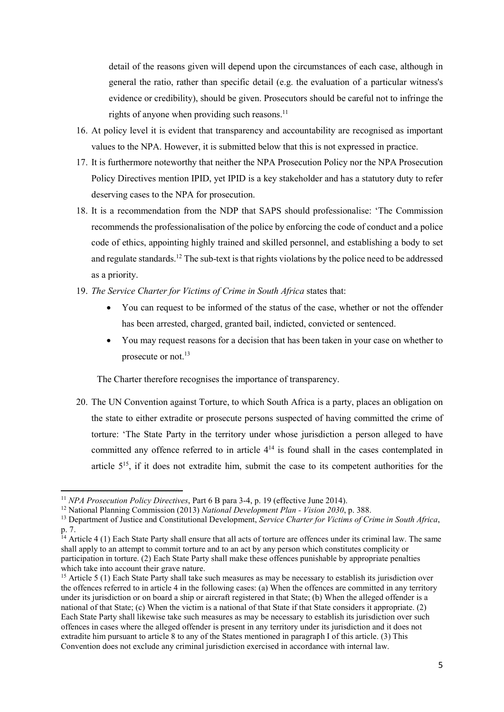detail of the reasons given will depend upon the circumstances of each case, although in general the ratio, rather than specific detail (e.g. the evaluation of a particular witness's evidence or credibility), should be given. Prosecutors should be careful not to infringe the rights of anyone when providing such reasons.<sup>11</sup>

- 16. At policy level it is evident that transparency and accountability are recognised as important values to the NPA. However, it is submitted below that this is not expressed in practice.
- 17. It is furthermore noteworthy that neither the NPA Prosecution Policy nor the NPA Prosecution Policy Directives mention IPID, yet IPID is a key stakeholder and has a statutory duty to refer deserving cases to the NPA for prosecution.
- 18. It is a recommendation from the NDP that SAPS should professionalise: 'The Commission recommends the professionalisation of the police by enforcing the code of conduct and a police code of ethics, appointing highly trained and skilled personnel, and establishing a body to set and regulate standards.<sup>12</sup> The sub-text is that rights violations by the police need to be addressed as a priority.
- 19. The Service Charter for Victims of Crime in South Africa states that:
	- You can request to be informed of the status of the case, whether or not the offender has been arrested, charged, granted bail, indicted, convicted or sentenced.
	- You may request reasons for a decision that has been taken in your case on whether to prosecute or not.<sup>13</sup>

The Charter therefore recognises the importance of transparency.

20. The UN Convention against Torture, to which South Africa is a party, places an obligation on the state to either extradite or prosecute persons suspected of having committed the crime of torture: 'The State Party in the territory under whose jurisdiction a person alleged to have committed any offence referred to in article  $4<sup>14</sup>$  is found shall in the cases contemplated in article 5<sup>15</sup>, if it does not extradite him, submit the case to its competent authorities for the

<sup>&</sup>lt;sup>11</sup> NPA Prosecution Policy Directives, Part 6 B para 3-4, p. 19 (effective June 2014).

<sup>&</sup>lt;sup>12</sup> National Planning Commission (2013) National Development Plan - Vision 2030, p. 388.

<sup>&</sup>lt;sup>13</sup> Department of Justice and Constitutional Development, Service Charter for Victims of Crime in South Africa, p. 7.

 $14$  Article 4 (1) Each State Party shall ensure that all acts of torture are offences under its criminal law. The same shall apply to an attempt to commit torture and to an act by any person which constitutes complicity or participation in torture. (2) Each State Party shall make these offences punishable by appropriate penalties which take into account their grave nature.

<sup>&</sup>lt;sup>15</sup> Article 5 (1) Each State Party shall take such measures as may be necessary to establish its jurisdiction over the offences referred to in article 4 in the following cases: (a) When the offences are committed in any territory under its jurisdiction or on board a ship or aircraft registered in that State; (b) When the alleged offender is a national of that State; (c) When the victim is a national of that State if that State considers it appropriate. (2) Each State Party shall likewise take such measures as may be necessary to establish its jurisdiction over such offences in cases where the alleged offender is present in any territory under its jurisdiction and it does not extradite him pursuant to article 8 to any of the States mentioned in paragraph I of this article. (3) This Convention does not exclude any criminal jurisdiction exercised in accordance with internal law.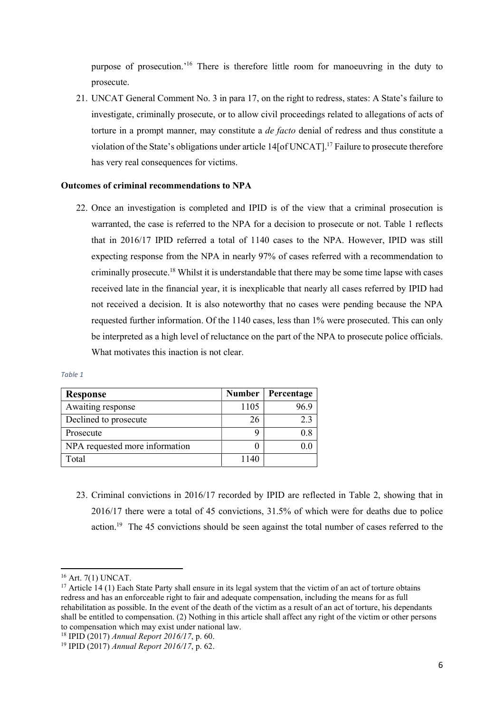purpose of prosecution.'<sup>16</sup> There is therefore little room for manoeuvring in the duty to prosecute.

21. UNCAT General Comment No. 3 in para 17, on the right to redress, states: A State's failure to investigate, criminally prosecute, or to allow civil proceedings related to allegations of acts of torture in a prompt manner, may constitute a *de facto* denial of redress and thus constitute a violation of the State's obligations under article 14[of UNCAT].<sup>17</sup> Failure to prosecute therefore has very real consequences for victims.

#### Outcomes of criminal recommendations to NPA

22. Once an investigation is completed and IPID is of the view that a criminal prosecution is warranted, the case is referred to the NPA for a decision to prosecute or not. Table 1 reflects that in 2016/17 IPID referred a total of 1140 cases to the NPA. However, IPID was still expecting response from the NPA in nearly 97% of cases referred with a recommendation to criminally prosecute.<sup>18</sup> Whilst it is understandable that there may be some time lapse with cases received late in the financial year, it is inexplicable that nearly all cases referred by IPID had not received a decision. It is also noteworthy that no cases were pending because the NPA requested further information. Of the 1140 cases, less than 1% were prosecuted. This can only be interpreted as a high level of reluctance on the part of the NPA to prosecute police officials. What motivates this inaction is not clear.

| <b>Response</b>                | <b>Number</b> | Percentage |
|--------------------------------|---------------|------------|
| Awaiting response              | 1105          |            |
| Declined to prosecute          | 26            | 2.3        |
| Prosecute                      |               | 0.8        |
| NPA requested more information |               |            |
| Total                          | 1140          |            |

| . .<br>×<br>n e<br>٧<br>×<br>۰, |
|---------------------------------|
|---------------------------------|

23. Criminal convictions in 2016/17 recorded by IPID are reflected in Table 2, showing that in 2016/17 there were a total of 45 convictions, 31.5% of which were for deaths due to police action.<sup>19</sup> The 45 convictions should be seen against the total number of cases referred to the

<sup>16</sup> Art. 7(1) UNCAT.

<sup>&</sup>lt;sup>17</sup> Article 14 (1) Each State Party shall ensure in its legal system that the victim of an act of torture obtains redress and has an enforceable right to fair and adequate compensation, including the means for as full rehabilitation as possible. In the event of the death of the victim as a result of an act of torture, his dependants shall be entitled to compensation. (2) Nothing in this article shall affect any right of the victim or other persons to compensation which may exist under national law.

<sup>&</sup>lt;sup>18</sup> IPID (2017) Annual Report 2016/17, p. 60.

<sup>19</sup> IPID (2017) Annual Report 2016/17, p. 62.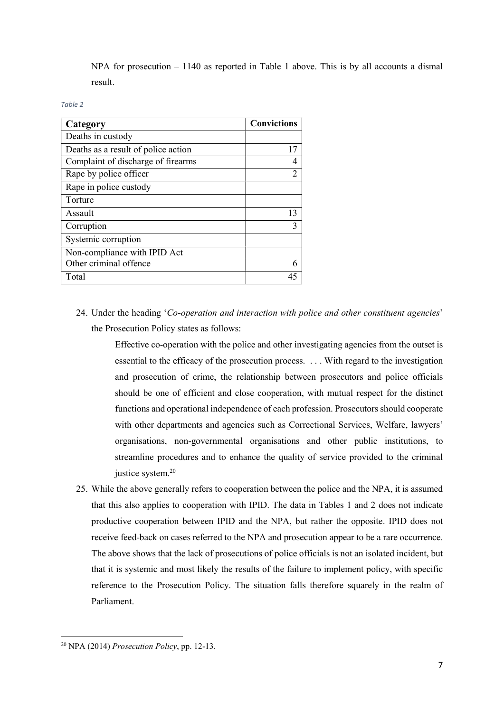NPA for prosecution – 1140 as reported in Table 1 above. This is by all accounts a dismal result.

#### Table 2

| Category                            | <b>Convictions</b> |
|-------------------------------------|--------------------|
| Deaths in custody                   |                    |
| Deaths as a result of police action | 17                 |
| Complaint of discharge of firearms  |                    |
| Rape by police officer              |                    |
| Rape in police custody              |                    |
| Torture                             |                    |
| Assault                             | 13                 |
| Corruption                          |                    |
| Systemic corruption                 |                    |
| Non-compliance with IPID Act        |                    |
| Other criminal offence              |                    |
| Total                               |                    |

24. Under the heading 'Co-operation and interaction with police and other constituent agencies' the Prosecution Policy states as follows:

> Effective co-operation with the police and other investigating agencies from the outset is essential to the efficacy of the prosecution process. . . . With regard to the investigation and prosecution of crime, the relationship between prosecutors and police officials should be one of efficient and close cooperation, with mutual respect for the distinct functions and operational independence of each profession. Prosecutors should cooperate with other departments and agencies such as Correctional Services, Welfare, lawyers' organisations, non-governmental organisations and other public institutions, to streamline procedures and to enhance the quality of service provided to the criminal justice system.<sup>20</sup>

25. While the above generally refers to cooperation between the police and the NPA, it is assumed that this also applies to cooperation with IPID. The data in Tables 1 and 2 does not indicate productive cooperation between IPID and the NPA, but rather the opposite. IPID does not receive feed-back on cases referred to the NPA and prosecution appear to be a rare occurrence. The above shows that the lack of prosecutions of police officials is not an isolated incident, but that it is systemic and most likely the results of the failure to implement policy, with specific reference to the Prosecution Policy. The situation falls therefore squarely in the realm of Parliament.

 $20$  NPA (2014) *Prosecution Policy*, pp. 12-13.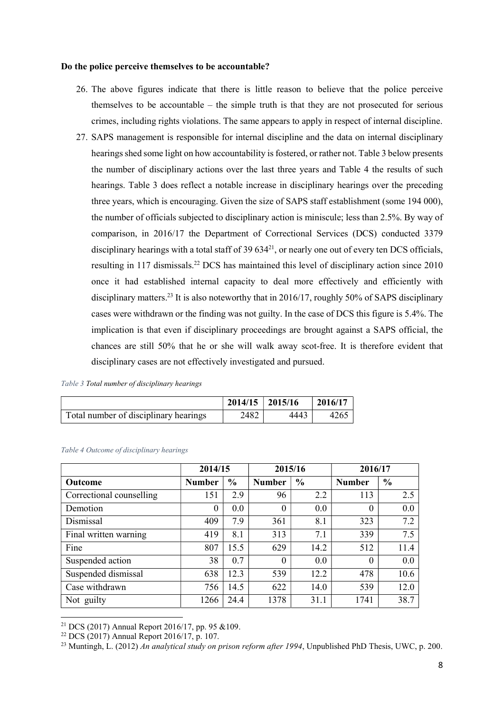#### Do the police perceive themselves to be accountable?

- 26. The above figures indicate that there is little reason to believe that the police perceive themselves to be accountable – the simple truth is that they are not prosecuted for serious crimes, including rights violations. The same appears to apply in respect of internal discipline.
- 27. SAPS management is responsible for internal discipline and the data on internal disciplinary hearings shed some light on how accountability is fostered, or rather not. Table 3 below presents the number of disciplinary actions over the last three years and Table 4 the results of such hearings. Table 3 does reflect a notable increase in disciplinary hearings over the preceding three years, which is encouraging. Given the size of SAPS staff establishment (some 194 000), the number of officials subjected to disciplinary action is miniscule; less than 2.5%. By way of comparison, in 2016/17 the Department of Correctional Services (DCS) conducted 3379 disciplinary hearings with a total staff of 39  $634^{21}$ , or nearly one out of every ten DCS officials, resulting in 117 dismissals.<sup>22</sup> DCS has maintained this level of disciplinary action since 2010 once it had established internal capacity to deal more effectively and efficiently with disciplinary matters.<sup>23</sup> It is also noteworthy that in 2016/17, roughly 50% of SAPS disciplinary cases were withdrawn or the finding was not guilty. In the case of DCS this figure is 5.4%. The implication is that even if disciplinary proceedings are brought against a SAPS official, the chances are still 50% that he or she will walk away scot-free. It is therefore evident that disciplinary cases are not effectively investigated and pursued.

| Table 3 Total number of disciplinary hearings |  |  |
|-----------------------------------------------|--|--|
|-----------------------------------------------|--|--|

|                                       | $2014/15$   2015/16 |      | 2016/17 |
|---------------------------------------|---------------------|------|---------|
| Total number of disciplinary hearings | 2482                | 4443 | 4265    |

|                          | 2014/15       |               | 2015/16       |               | 2016/17       |               |
|--------------------------|---------------|---------------|---------------|---------------|---------------|---------------|
| <b>Outcome</b>           | <b>Number</b> | $\frac{0}{0}$ | <b>Number</b> | $\frac{0}{0}$ | <b>Number</b> | $\frac{0}{0}$ |
| Correctional counselling | 151           | 2.9           | 96            | 2.2           | 113           | 2.5           |
| Demotion                 | $\theta$      | 0.0           | 0             | 0.0           | $\Omega$      | 0.0           |
| Dismissal                | 409           | 7.9           | 361           | 8.1           | 323           | 7.2           |
| Final written warning    | 419           | 8.1           | 313           | 7.1           | 339           | 7.5           |
| Fine                     | 807           | 15.5          | 629           | 14.2          | 512           | 11.4          |
| Suspended action         | 38            | 0.7           | $\theta$      | 0.0           | $\theta$      | 0.0           |
| Suspended dismissal      | 638           | 12.3          | 539           | 12.2          | 478           | 10.6          |
| Case withdrawn           | 756           | 14.5          | 622           | 14.0          | 539           | 12.0          |
| Not guilty               | 1266          | 24.4          | 1378          | 31.1          | 1741          | 38.7          |

#### Table 4 Outcome of disciplinary hearings

<sup>&</sup>lt;sup>21</sup> DCS (2017) Annual Report 2016/17, pp. 95  $&109$ .

 $22$  DCS (2017) Annual Report 2016/17, p. 107.

<sup>&</sup>lt;sup>23</sup> Muntingh, L. (2012) An analytical study on prison reform after 1994, Unpublished PhD Thesis, UWC, p. 200.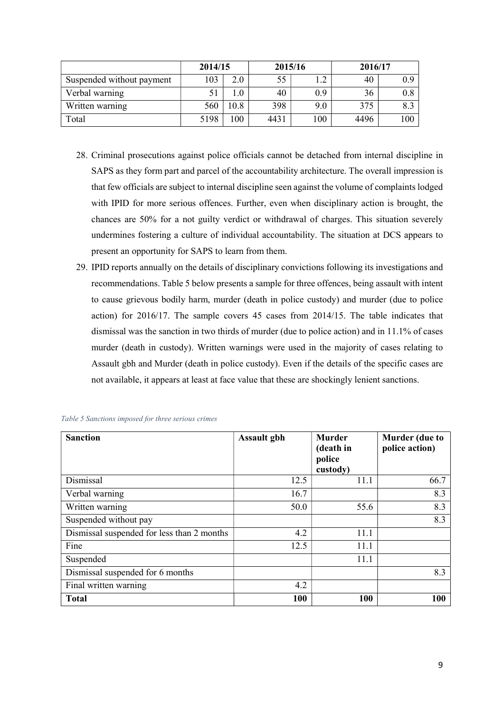|                           | 2014/15 |      | 2015/16 |     | 2016/17 |     |
|---------------------------|---------|------|---------|-----|---------|-----|
| Suspended without payment | 103     | 2.0  | 55      |     | 40      | 0.9 |
| Verbal warning            |         |      | 40      | 0.9 | 36      | 0.8 |
| Written warning           | 560     | 10.8 | 398     | 9.0 | 375     | 8.3 |
| Total                     | 5198    | 100  | 4431    | 100 | 4496    | 100 |

- 28. Criminal prosecutions against police officials cannot be detached from internal discipline in SAPS as they form part and parcel of the accountability architecture. The overall impression is that few officials are subject to internal discipline seen against the volume of complaints lodged with IPID for more serious offences. Further, even when disciplinary action is brought, the chances are 50% for a not guilty verdict or withdrawal of charges. This situation severely undermines fostering a culture of individual accountability. The situation at DCS appears to present an opportunity for SAPS to learn from them.
- 29. IPID reports annually on the details of disciplinary convictions following its investigations and recommendations. Table 5 below presents a sample for three offences, being assault with intent to cause grievous bodily harm, murder (death in police custody) and murder (due to police action) for 2016/17. The sample covers 45 cases from 2014/15. The table indicates that dismissal was the sanction in two thirds of murder (due to police action) and in 11.1% of cases murder (death in custody). Written warnings were used in the majority of cases relating to Assault gbh and Murder (death in police custody). Even if the details of the specific cases are not available, it appears at least at face value that these are shockingly lenient sanctions.

| <b>Sanction</b>                            | <b>Assault gbh</b> | <b>Murder</b><br>(death in<br>police | Murder (due to<br>police action) |
|--------------------------------------------|--------------------|--------------------------------------|----------------------------------|
|                                            |                    | custody)                             |                                  |
| Dismissal                                  | 12.5               | 11.1                                 | 66.7                             |
| Verbal warning                             | 16.7               |                                      | 8.3                              |
| Written warning                            | 50.0               | 55.6                                 | 8.3                              |
| Suspended without pay                      |                    |                                      | 8.3                              |
| Dismissal suspended for less than 2 months | 4.2                | 11.1                                 |                                  |
| Fine                                       | 12.5               | 11.1                                 |                                  |
| Suspended                                  |                    | 11.1                                 |                                  |
| Dismissal suspended for 6 months           |                    |                                      | 8.3                              |
| Final written warning                      | 4.2                |                                      |                                  |
| <b>Total</b>                               | 100                | 100                                  | 100                              |

| Table 5 Sanctions imposed for three serious crimes |  |  |  |
|----------------------------------------------------|--|--|--|
|                                                    |  |  |  |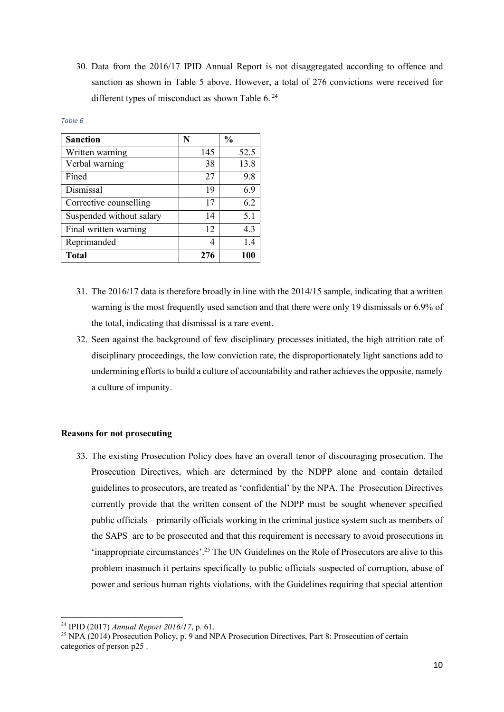30. Data from the 2016/17 IPID Annual Report is not disaggregated according to offence and sanction as shown in Table 5 above. However, a total of 276 convictions were received for different types of misconduct as shown Table 6.<sup>24</sup>

| <b>Sanction</b>          | N   | $\frac{0}{0}$ |
|--------------------------|-----|---------------|
| Written warning          | 145 | 52.5          |
| Verbal warning           | 38  | 13.8          |
| Fined                    | 27  | 9.8           |
| Dismissal                | 19  | 6.9           |
| Corrective counselling   | 17  | 6.2           |
| Suspended without salary | 14  | 5.1           |
| Final written warning    | 12  | 4.3           |
| Reprimanded              | 4   | 1.4           |
| <b>Total</b>             | 276 | 100           |

#### Table 6

- 31. The 2016/17 data is therefore broadly in line with the 2014/15 sample, indicating that a written warning is the most frequently used sanction and that there were only 19 dismissals or 6.9% of the total, indicating that dismissal is a rare event.
- 32. Seen against the background of few disciplinary processes initiated, the high attrition rate of disciplinary proceedings, the low conviction rate, the disproportionately light sanctions add to undermining efforts to build a culture of accountability and rather achieves the opposite, namely a culture of impunity.

## Reasons for not prosecuting

33. The existing Prosecution Policy does have an overall tenor of discouraging prosecution. The Prosecution Directives, which are determined by the NDPP alone and contain detailed guidelines to prosecutors, are treated as 'confidential' by the NPA. The Prosecution Directives currently provide that the written consent of the NDPP must be sought whenever specified public officials – primarily officials working in the criminal justice system such as members of the SAPS are to be prosecuted and that this requirement is necessary to avoid prosecutions in 'inappropriate circumstances'.<sup>25</sup> The UN Guidelines on the Role of Prosecutors are alive to this problem inasmuch it pertains specifically to public officials suspected of corruption, abuse of power and serious human rights violations, with the Guidelines requiring that special attention

<sup>&</sup>lt;sup>24</sup> IPID (2017) Annual Report 2016/17, p. 61.

<sup>&</sup>lt;sup>25</sup> NPA (2014) Prosecution Policy, p. 9 and NPA Prosecution Directives, Part 8: Prosecution of certain categories of person p25 .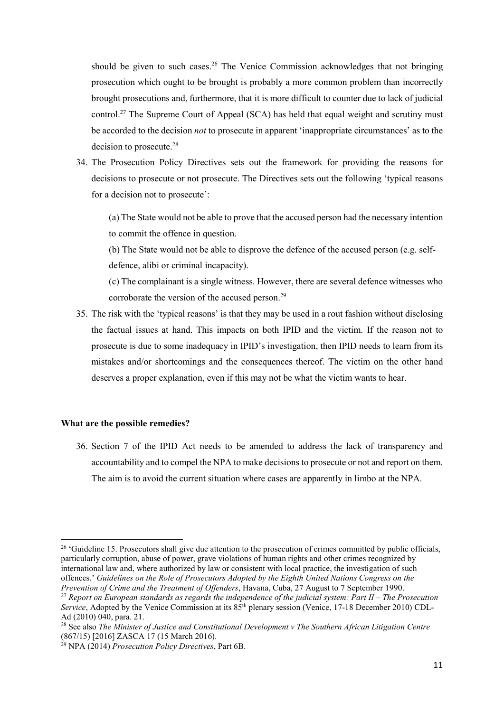should be given to such cases.<sup>26</sup> The Venice Commission acknowledges that not bringing prosecution which ought to be brought is probably a more common problem than incorrectly brought prosecutions and, furthermore, that it is more difficult to counter due to lack of judicial control.<sup>27</sup> The Supreme Court of Appeal (SCA) has held that equal weight and scrutiny must be accorded to the decision *not* to prosecute in apparent 'inappropriate circumstances' as to the decision to prosecute.<sup>28</sup>

34. The Prosecution Policy Directives sets out the framework for providing the reasons for decisions to prosecute or not prosecute. The Directives sets out the following 'typical reasons for a decision not to prosecute':

(a) The State would not be able to prove that the accused person had the necessary intention to commit the offence in question.

(b) The State would not be able to disprove the defence of the accused person (e.g. selfdefence, alibi or criminal incapacity).

(c) The complainant is a single witness. However, there are several defence witnesses who corroborate the version of the accused person.<sup>29</sup>

35. The risk with the 'typical reasons' is that they may be used in a rout fashion without disclosing the factual issues at hand. This impacts on both IPID and the victim. If the reason not to prosecute is due to some inadequacy in IPID's investigation, then IPID needs to learn from its mistakes and/or shortcomings and the consequences thereof. The victim on the other hand deserves a proper explanation, even if this may not be what the victim wants to hear.

# What are the possible remedies?

-

36. Section 7 of the IPID Act needs to be amended to address the lack of transparency and accountability and to compel the NPA to make decisions to prosecute or not and report on them. The aim is to avoid the current situation where cases are apparently in limbo at the NPA.

<sup>&</sup>lt;sup>26</sup> 'Guideline 15. Prosecutors shall give due attention to the prosecution of crimes committed by public officials, particularly corruption, abuse of power, grave violations of human rights and other crimes recognized by international law and, where authorized by law or consistent with local practice, the investigation of such offences.' Guidelines on the Role of Prosecutors Adopted by the Eighth United Nations Congress on the Prevention of Crime and the Treatment of Offenders, Havana, Cuba, 27 August to 7 September 1990.

<sup>&</sup>lt;sup>27</sup> Report on European standards as regards the independence of the judicial system: Part II – The Prosecution Service, Adopted by the Venice Commission at its  $85<sup>th</sup>$  plenary session (Venice, 17-18 December 2010) CDL-Ad (2010) 040, para. 21.

<sup>&</sup>lt;sup>28</sup> See also The Minister of Justice and Constitutional Development v The Southern African Litigation Centre (867/15) [2016] ZASCA 17 (15 March 2016).

<sup>29</sup> NPA (2014) Prosecution Policy Directives, Part 6B.